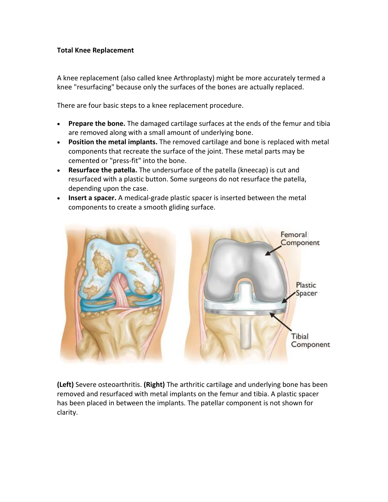# **Total Knee Replacement**

A knee replacement (also called knee Arthroplasty) might be more accurately termed a knee "resurfacing" because only the surfaces of the bones are actually replaced.

There are four basic steps to a knee replacement procedure.

- **Prepare the bone.** The damaged cartilage surfaces at the ends of the femur and tibia are removed along with a small amount of underlying bone.
- **Position the metal implants.** The removed cartilage and bone is replaced with metal components that recreate the surface of the joint. These metal parts may be cemented or "press-fit" into the bone.
- **Resurface the patella.** The undersurface of the patella (kneecap) is cut and resurfaced with a plastic button. Some surgeons do not resurface the patella, depending upon the case.
- **Insert a spacer.** A medical-grade plastic spacer is inserted between the metal components to create a smooth gliding surface.



**(Left)** Severe osteoarthritis. **(Right)** The arthritic cartilage and underlying bone has been removed and resurfaced with metal implants on the femur and tibia. A plastic spacer has been placed in between the implants. The patellar component is not shown for clarity.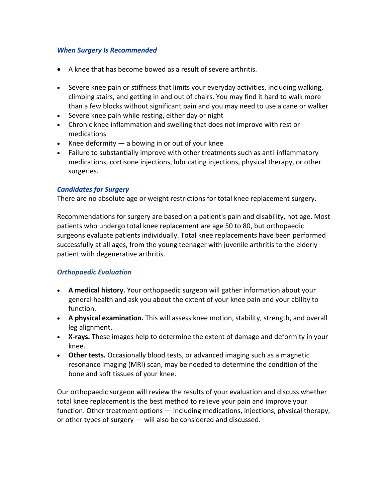# *When Surgery Is Recommended*

- A knee that has become bowed as a result of severe arthritis.
- Severe knee pain or stiffness that limits your everyday activities, including walking, climbing stairs, and getting in and out of chairs. You may find it hard to walk more than a few blocks without significant pain and you may need to use a cane or walker
- Severe knee pain while resting, either day or night
- Chronic knee inflammation and swelling that does not improve with rest or medications
- Knee deformity  $-$  a bowing in or out of your knee
- Failure to substantially improve with other treatments such as anti-inflammatory medications, cortisone injections, lubricating injections, physical therapy, or other surgeries.

## *Candidates for Surgery*

There are no absolute age or weight restrictions for total knee replacement surgery.

Recommendations for surgery are based on a patient's pain and disability, not age. Most patients who undergo total knee replacement are age 50 to 80, but orthopaedic surgeons evaluate patients individually. Total knee replacements have been performed successfully at all ages, from the young teenager with juvenile arthritis to the elderly patient with degenerative arthritis.

# *Orthopaedic Evaluation*

- **A medical history.** Your orthopaedic surgeon will gather information about your general health and ask you about the extent of your knee pain and your ability to function.
- **A physical examination.** This will assess knee motion, stability, strength, and overall leg alignment.
- **X-rays.** These images help to determine the extent of damage and deformity in your knee.
- **Other tests.** Occasionally blood tests, or advanced imaging such as a magnetic resonance imaging (MRI) scan, may be needed to determine the condition of the bone and soft tissues of your knee.

Our orthopaedic surgeon will review the results of your evaluation and discuss whether total knee replacement is the best method to relieve your pain and improve your function. Other treatment options — including medications, injections, physical therapy, or other types of surgery — will also be considered and discussed.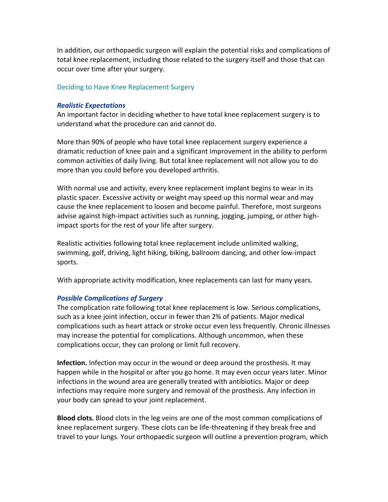In addition, our orthopaedic surgeon will explain the potential risks and complications of total knee replacement, including those related to the surgery itself and those that can occur over time after your surgery.

## Deciding to Have Knee Replacement Surgery

### *Realistic Expectations*

An important factor in deciding whether to have total knee replacement surgery is to understand what the procedure can and cannot do.

More than 90% of people who have total knee replacement surgery experience a dramatic reduction of knee pain and a significant improvement in the ability to perform common activities of daily living. But total knee replacement will not allow you to do more than you could before you developed arthritis.

With normal use and activity, every knee replacement implant begins to wear in its plastic spacer. Excessive activity or weight may speed up this normal wear and may cause the knee replacement to loosen and become painful. Therefore, most surgeons advise against high-impact activities such as running, jogging, jumping, or other highimpact sports for the rest of your life after surgery.

Realistic activities following total knee replacement include unlimited walking, swimming, golf, driving, light hiking, biking, ballroom dancing, and other low-impact sports.

With appropriate activity modification, knee replacements can last for many years.

### *Possible Complications of Surgery*

The complication rate following total knee replacement is low. Serious complications, such as a knee joint infection, occur in fewer than 2% of patients. Major medical complications such as heart attack or stroke occur even less frequently. Chronic illnesses may increase the potential for complications. Although uncommon, when these complications occur, they can prolong or limit full recovery.

**Infection.** Infection may occur in the wound or deep around the prosthesis. It may happen while in the hospital or after you go home. It may even occur years later. Minor infections in the wound area are generally treated with antibiotics. Major or deep infections may require more surgery and removal of the prosthesis. Any infection in your body can spread to your joint replacement.

**Blood clots.** Blood clots in the leg veins are one of the most common complications of knee replacement surgery. These clots can be life-threatening if they break free and travel to your lungs. Your orthopaedic surgeon will outline a prevention program, which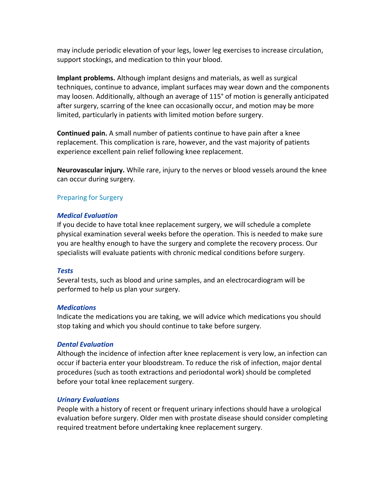may include periodic elevation of your legs, lower leg exercises to increase circulation, support stockings, and medication to thin your blood.

**Implant problems.** Although implant designs and materials, as well as surgical techniques, continue to advance, implant surfaces may wear down and the components may loosen. Additionally, although an average of 115° of motion is generally anticipated after surgery, scarring of the knee can occasionally occur, and motion may be more limited, particularly in patients with limited motion before surgery.

**Continued pain.** A small number of patients continue to have pain after a knee replacement. This complication is rare, however, and the vast majority of patients experience excellent pain relief following knee replacement.

**Neurovascular injury.** While rare, injury to the nerves or blood vessels around the knee can occur during surgery.

# Preparing for Surgery

# *Medical Evaluation*

If you decide to have total knee replacement surgery, we will schedule a complete physical examination several weeks before the operation. This is needed to make sure you are healthy enough to have the surgery and complete the recovery process. Our specialists will evaluate patients with chronic medical conditions before surgery.

# *Tests*

Several tests, such as blood and urine samples, and an electrocardiogram will be performed to help us plan your surgery.

# *Medications*

Indicate the medications you are taking, we will advice which medications you should stop taking and which you should continue to take before surgery.

# *Dental Evaluation*

Although the incidence of infection after knee replacement is very low, an infection can occur if bacteria enter your bloodstream. To reduce the risk of infection, major dental procedures (such as tooth extractions and periodontal work) should be completed before your total knee replacement surgery.

### *Urinary Evaluations*

People with a history of recent or frequent urinary infections should have a urological evaluation before surgery. Older men with prostate disease should consider completing required treatment before undertaking knee replacement surgery.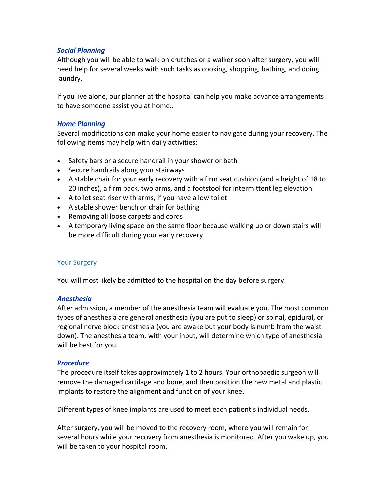# *Social Planning*

Although you will be able to walk on crutches or a walker soon after surgery, you will need help for several weeks with such tasks as cooking, shopping, bathing, and doing laundry.

If you live alone, our planner at the hospital can help you make advance arrangements to have someone assist you at home..

# *Home Planning*

Several modifications can make your home easier to navigate during your recovery. The following items may help with daily activities:

- Safety bars or a secure handrail in your shower or bath
- Secure handrails along your stairways
- A stable chair for your early recovery with a firm seat cushion (and a height of 18 to 20 inches), a firm back, two arms, and a footstool for intermittent leg elevation
- A toilet seat riser with arms, if you have a low toilet
- A stable shower bench or chair for bathing
- Removing all loose carpets and cords
- A temporary living space on the same floor because walking up or down stairs will be more difficult during your early recovery

# Your Surgery

You will most likely be admitted to the hospital on the day before surgery.

# *Anesthesia*

After admission, a member of the anesthesia team will evaluate you. The most common types of anesthesia are general anesthesia (you are put to sleep) or spinal, epidural, or regional nerve block anesthesia (you are awake but your body is numb from the waist down). The anesthesia team, with your input, will determine which type of anesthesia will be best for you.

### *Procedure*

The procedure itself takes approximately 1 to 2 hours. Your orthopaedic surgeon will remove the damaged cartilage and bone, and then position the new metal and plastic implants to restore the alignment and function of your knee.

Different types of knee implants are used to meet each patient's individual needs.

After surgery, you will be moved to the recovery room, where you will remain for several hours while your recovery from anesthesia is monitored. After you wake up, you will be taken to your hospital room.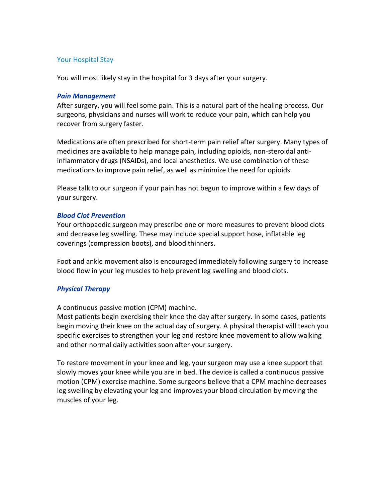# Your Hospital Stay

You will most likely stay in the hospital for 3 days after your surgery.

## *Pain Management*

After surgery, you will feel some pain. This is a natural part of the healing process. Our surgeons, physicians and nurses will work to reduce your pain, which can help you recover from surgery faster.

Medications are often prescribed for short-term pain relief after surgery. Many types of medicines are available to help manage pain, including opioids, non-steroidal antiinflammatory drugs (NSAIDs), and local anesthetics. We use combination of these medications to improve pain relief, as well as minimize the need for opioids.

Please talk to our surgeon if your pain has not begun to improve within a few days of your surgery.

# *Blood Clot Prevention*

Your orthopaedic surgeon may prescribe one or more measures to prevent blood clots and decrease leg swelling. These may include special support hose, inflatable leg coverings (compression boots), and blood thinners.

Foot and ankle movement also is encouraged immediately following surgery to increase blood flow in your leg muscles to help prevent leg swelling and blood clots.

# *Physical Therapy*

A continuous passive motion (CPM) machine.

Most patients begin exercising their knee the day after surgery. In some cases, patients begin moving their knee on the actual day of surgery. A physical therapist will teach you specific exercises to strengthen your leg and restore knee movement to allow walking and other normal daily activities soon after your surgery.

To restore movement in your knee and leg, your surgeon may use a knee support that slowly moves your knee while you are in bed. The device is called a continuous passive motion (CPM) exercise machine. Some surgeons believe that a CPM machine decreases leg swelling by elevating your leg and improves your blood circulation by moving the muscles of your leg.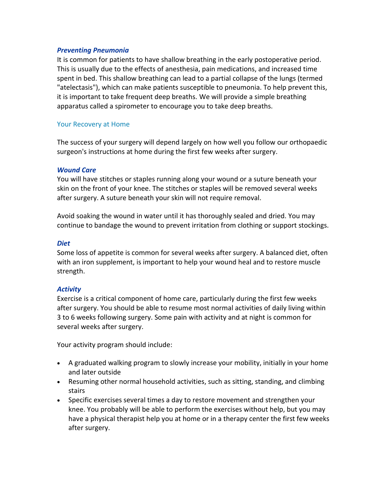## *Preventing Pneumonia*

It is common for patients to have shallow breathing in the early postoperative period. This is usually due to the effects of anesthesia, pain medications, and increased time spent in bed. This shallow breathing can lead to a partial collapse of the lungs (termed "atelectasis"), which can make patients susceptible to pneumonia. To help prevent this, it is important to take frequent deep breaths. We will provide a simple breathing apparatus called a spirometer to encourage you to take deep breaths.

# Your Recovery at Home

The success of your surgery will depend largely on how well you follow our orthopaedic surgeon's instructions at home during the first few weeks after surgery.

## *Wound Care*

You will have stitches or staples running along your wound or a suture beneath your skin on the front of your knee. The stitches or staples will be removed several weeks after surgery. A suture beneath your skin will not require removal.

Avoid soaking the wound in water until it has thoroughly sealed and dried. You may continue to bandage the wound to prevent irritation from clothing or support stockings.

### *Diet*

Some loss of appetite is common for several weeks after surgery. A balanced diet, often with an iron supplement, is important to help your wound heal and to restore muscle strength.

# *Activity*

Exercise is a critical component of home care, particularly during the first few weeks after surgery. You should be able to resume most normal activities of daily living within 3 to 6 weeks following surgery. Some pain with activity and at night is common for several weeks after surgery.

Your activity program should include:

- A graduated walking program to slowly increase your mobility, initially in your home and later outside
- Resuming other normal household activities, such as sitting, standing, and climbing stairs
- Specific exercises several times a day to restore movement and strengthen your knee. You probably will be able to perform the exercises without help, but you may have a physical therapist help you at home or in a therapy center the first few weeks after surgery.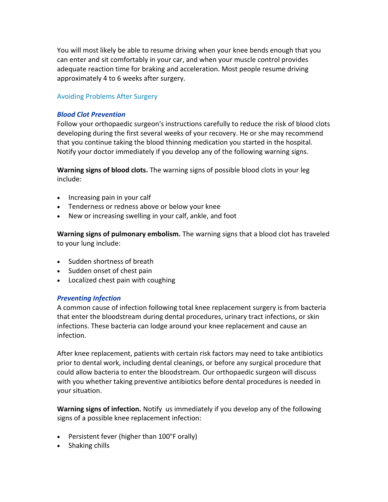You will most likely be able to resume driving when your knee bends enough that you can enter and sit comfortably in your car, and when your muscle control provides adequate reaction time for braking and acceleration. Most people resume driving approximately 4 to 6 weeks after surgery.

# Avoiding Problems After Surgery

## *Blood Clot Prevention*

Follow your orthopaedic surgeon's instructions carefully to reduce the risk of blood clots developing during the first several weeks of your recovery. He or she may recommend that you continue taking the blood thinning medication you started in the hospital. Notify your doctor immediately if you develop any of the following warning signs.

**Warning signs of blood clots.** The warning signs of possible blood clots in your leg include:

- Increasing pain in your calf
- Tenderness or redness above or below your knee
- New or increasing swelling in your calf, ankle, and foot

**Warning signs of pulmonary embolism.** The warning signs that a blood clot has traveled to your lung include:

- Sudden shortness of breath
- Sudden onset of chest pain
- Localized chest pain with coughing

### *Preventing Infection*

A common cause of infection following total knee replacement surgery is from bacteria that enter the bloodstream during dental procedures, urinary tract infections, or skin infections. These bacteria can lodge around your knee replacement and cause an infection.

After knee replacement, patients with certain risk factors may need to take antibiotics prior to dental work, including dental cleanings, or before any surgical procedure that could allow bacteria to enter the bloodstream. Our orthopaedic surgeon will discuss with you whether taking preventive antibiotics before dental procedures is needed in your situation.

**Warning signs of infection.** Notify us immediately if you develop any of the following signs of a possible knee replacement infection:

- Persistent fever (higher than 100°F orally)
- Shaking chills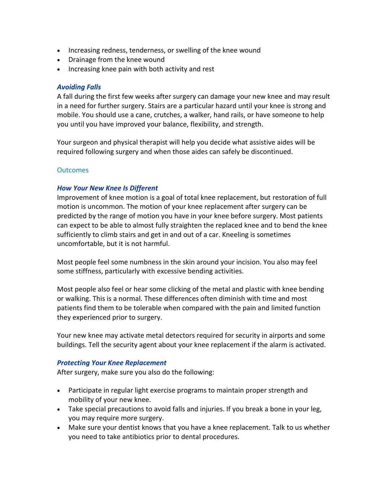- Increasing redness, tenderness, or swelling of the knee wound
- Drainage from the knee wound
- Increasing knee pain with both activity and rest

# *Avoiding Falls*

A fall during the first few weeks after surgery can damage your new knee and may result in a need for further surgery. Stairs are a particular hazard until your knee is strong and mobile. You should use a cane, crutches, a walker, hand rails, or have someone to help you until you have improved your balance, flexibility, and strength.

Your surgeon and physical therapist will help you decide what assistive aides will be required following surgery and when those aides can safely be discontinued.

# **Outcomes**

# *How Your New Knee Is Different*

Improvement of knee motion is a goal of total knee replacement, but restoration of full motion is uncommon. The motion of your knee replacement after surgery can be predicted by the range of motion you have in your knee before surgery. Most patients can expect to be able to almost fully straighten the replaced knee and to bend the knee sufficiently to climb stairs and get in and out of a car. Kneeling is sometimes uncomfortable, but it is not harmful.

Most people feel some numbness in the skin around your incision. You also may feel some stiffness, particularly with excessive bending activities.

Most people also feel or hear some clicking of the metal and plastic with knee bending or walking. This is a normal. These differences often diminish with time and most patients find them to be tolerable when compared with the pain and limited function they experienced prior to surgery.

Your new knee may activate metal detectors required for security in airports and some buildings. Tell the security agent about your knee replacement if the alarm is activated.

# *Protecting Your Knee Replacement*

After surgery, make sure you also do the following:

- Participate in regular light exercise programs to maintain proper strength and mobility of your new knee.
- Take special precautions to avoid falls and injuries. If you break a bone in your leg, you may require more surgery.
- Make sure your dentist knows that you have a knee replacement. Talk to us whether you need to take antibiotics prior to dental procedures.